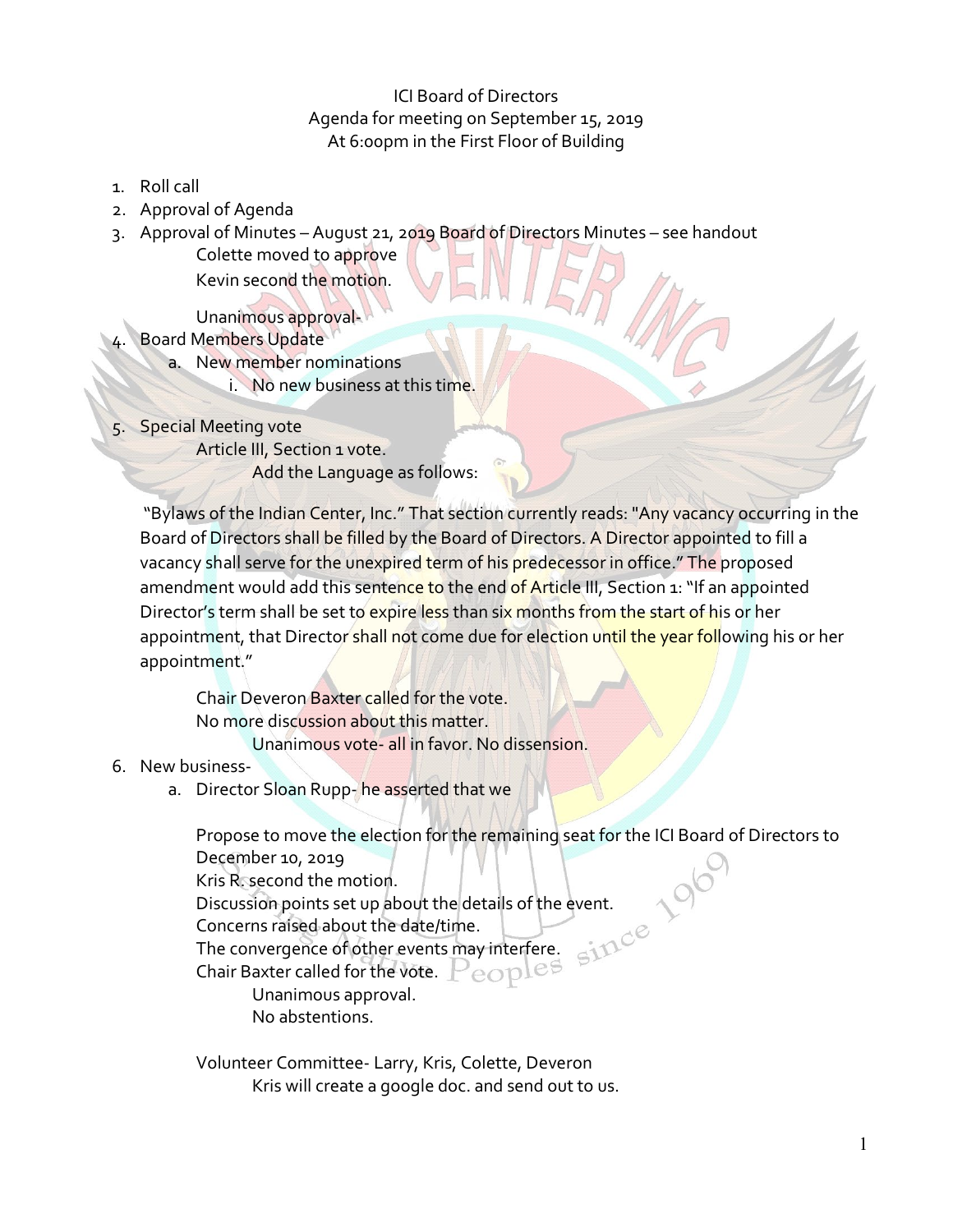## ICI Board of Directors Agenda for meeting on September 15, 2019 At 6:00pm in the First Floor of Building

- 1. Roll call
- 2. Approval of Agenda
- 3. Approval of Minutes August 21, 2019 Board of Directors Minutes see handout

Colette moved to approve Kevin second the motion.

Unanimous approval-

- Board Members Update
	- a. New member nominations
		- i. No new business at this time.
- 5. Special Meeting vote

Article III, Section 1 vote.

Add the Language as follows:

"Bylaws of the Indian Center, Inc." That section currently reads: "Any vacancy occurring in the Board of Directors shall be filled by the Board of Directors. A Director appointed to fill a vacancy shall serve for the unexpired term of his predecessor in office." The proposed amendment would add this sentence to the end of Article III, Section 1: "If an appointed Director's term shall be set to expire less than six months from the start of his or her appointment, that Director shall not come due for election until the year following his or her appointment."

Chair Deveron Baxter called for the vote. No more discussion about this matter. Unanimous vote- all in favor. No dissension.

- 6. New business
	- a. Director Sloan Rupp-he asserted that we

Propose to move the election for the remaining seat for the ICI Board of Directors to December 10, 2019 Kris R. second the motion. Discussion points set up about the details of the event. Concerns raised about the date/time. The convergence of other events may interfere. Chair Baxter called for the vote. Unanimous approval. No abstentions.

Volunteer Committee- Larry, Kris, Colette, Deveron Kris will create a google doc. and send out to us.